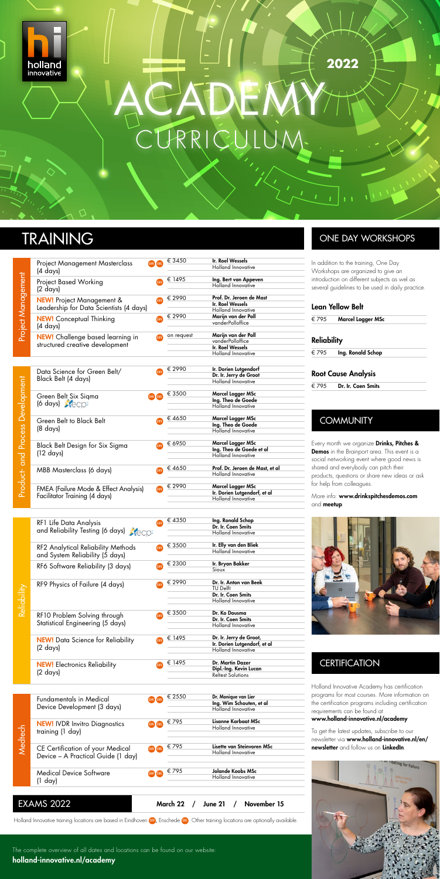The complete overview of all dates and locations can be found on our website: [holland-innovative.nl/academy](http://www.holland-innovative.nl/academy)

| Lean Yellow Belt   |                            |  |  |  |  |
|--------------------|----------------------------|--|--|--|--|
| € 795              | Marcel Logger MSc          |  |  |  |  |
| <b>Reliability</b> |                            |  |  |  |  |
| € 795              | Ing. Ronald Schop          |  |  |  |  |
|                    | <b>Root Cause Analysis</b> |  |  |  |  |

## € 795 Dr. Ir. Coen Smits

## **COMMUNITY**

| Medtech | <b>Fundamentals in Medical</b><br>Device Development (3 days)          | EHV ENS | € 2550 | Dr. Monique van Lier<br>Ing. Wim Schouten, et al<br>Holland Innovative |
|---------|------------------------------------------------------------------------|---------|--------|------------------------------------------------------------------------|
|         | <b>NEW!</b> IVDR Invitro Diagnostics<br>training (1 day)               | EHV ENS | € 795  | Lisanne Karbaat MSc<br>Holland Innovative                              |
|         | CE Certification of your Medical<br>Device – A Practical Guide (1 day) | EHV ENS | € 795  | Lisette van Steinvoren MSc<br>Holland Innovative                       |
|         | <b>Medical Device Software</b><br>(1 day)                              |         | € 795  | Jolande Koobs MSc<br>Holland Innovative                                |
|         |                                                                        |         |        |                                                                        |

|                                         | Project Management Masterclass<br>(4 days)                                  | <b>ENS</b><br><b>EHV</b> | € 3450               | Ir. Roel Wessels<br><b>Holland Innovative</b>                                            |
|-----------------------------------------|-----------------------------------------------------------------------------|--------------------------|----------------------|------------------------------------------------------------------------------------------|
| Project Management                      | <b>Project Based Working</b><br>(2 days)                                    | <b>EHV</b>               | € 1495               | Ing. Bert van Appeven<br><b>Holland Innovative</b>                                       |
|                                         | <b>NEW!</b> Project Management &<br>Leadership for Data Scientists (4 days) | EHV                      | € 2990               | Prof. Dr. Jeroen de Mast<br>Ir. Roel Wessels<br>Holland Innovative                       |
|                                         | <b>NEW!</b> Conceptual Thinking<br>(4 days)                                 | <b>EHV</b>               | € 2990               | Marijn van der Poll<br>vanderPolloffice                                                  |
| <b>Product- and Process Development</b> | <b>NEW!</b> Challenge based learning in<br>structured creative development  | <b>EHV</b>               | on request           | Marijn van der Poll<br>vanderPolloffice<br>Ir. Roel Wessels<br><b>Holland Innovative</b> |
|                                         | Data Science for Green Belt/<br>Black Belt (4 days)                         | <b>EHV</b>               | € 2990               | Ir. Dorien Lutgendorf<br>Dr. Ir. Jerry de Groot<br>Holland Innovative                    |
|                                         | Green Belt Six Sigma<br>$(6 \text{ days}) \times \text{CCP}^2$              | EHV ENS                  | € 3500               | Marcel Logger MSc<br>Ing. Theo de Goede<br>Holland Innovative                            |
|                                         | Green Belt to Black Belt<br>(8 days)                                        | <b>EHV</b>               | € 4650               | Marcel Logger MSc<br>Ing. Theo de Goede<br>Holland Innovative                            |
|                                         | Black Belt Design for Six Sigma<br>$(12 \text{ days})$                      | EHV                      | € 6950               | Marcel Logger MSc<br>Ing. Theo de Goede et al<br>Holland Innovative                      |
|                                         | MBB Masterclass (6 days)                                                    | EHV                      | € 4650               | Prof. Dr. Jeroen de Mast, et al<br>Holland Innovative                                    |
|                                         | FMEA (Failure Mode & Effect Analysis)<br>Facilitator Training (4 days)      | EHV                      | € 2990               | Marcel Logger MSc<br>Ir. Dorien Lutgendorf, et al<br>Holland Innovative                  |
|                                         | RF1 Life Data Analysis<br>and Reliability Testing (6 days) Accp2            | <b>EHV</b>               | € 4350               | Ing. Ronald Schop<br>Dr. Ir. Coen Smits<br>Holland Innovative                            |
|                                         | RF2 Analytical Reliability Methods<br>and System Reliability (5 days)       | <b>EHV</b>               | € 3500               | Ir. Elly van den Bliek<br><b>Holland Innovative</b>                                      |
| Reliability                             | RF6 Software Reliability (3 days)                                           | <b>EHV</b>               | € 2300               | Ir. Bryan Bakker<br>Sioux                                                                |
|                                         | RF9 Physics of Failure (4 days)                                             | <b>EHV</b>               | € 2990               | Dr. Ir. Anton van Beek<br>TU Delft<br>Dr. Ir. Coen Smits<br><b>Holland Innovative</b>    |
|                                         | RF10 Problem Solving through<br>Statistical Engineering (5 days)            | EHV                      | € 3500               | Dr. Ko Dousma<br>Dr. Ir. Coen Smits<br>Holland Innovative                                |
|                                         | <b>NEW!</b> Data Science for Reliability<br>(2 days)                        | EHV                      | € 1495               | Dr. Ir. Jerry de Groot,<br>Ir. Dorien Lutgendorf, et al<br><b>Holland Innovative</b>     |
| Medtech                                 | <b>NEW!</b> Electronics Reliability<br>(2 days)                             | <b>EHV</b>               | € 1495               | Dr. Martin Dazer<br>Dipl.-Ing. Kevin Lucan<br><b>Reltest Solutions</b>                   |
|                                         | Fundamentals in Medical<br>Device Development (3 days)                      | EHV ENS                  | € 2550               | Dr. Monique van Lier<br>Ing. Wim Schouten, et al<br>Holland Innovative                   |
|                                         | <b>NEW!</b> IVDR Invitro Diagnostics<br>training (1 day)                    | EHV ENS                  | € 795                | Lisanne Karbaat MSc<br>Holland Innovative                                                |
|                                         | CE Certification of your Medical<br>Device - A Practical Guide (1 day)      | EHV ENS                  | €795                 | Lisette van Steinvoren MSc<br>Holland Innovative                                         |
|                                         | <b>Medical Device Software</b><br>$(1 \text{ day})$                         | EHV ENS                  | € 795                | Jolande Koobs MSc<br>Holland Innovative                                                  |
|                                         | <b>EXAMS 2022</b>                                                           |                          | March 22<br>$\prime$ | June 21<br>November 15<br>$\prime$                                                       |

To get the latest updates, subscribe to our newsletter via [www.holland-innovative.nl/en/](http://www.holland-innovative.nl/en/newsletter) [newsletter](http://www.holland-innovative.nl/en/newsletter) and follow us on LinkedIn

# ng for Failure

Holland Innovative training locations are based in Eindhoven (HV), Enschede (H). Other training locations are optionally available.



ACADEMY RRIC **2022**

# TRAINING ONE DAY WORKSHOPS

In addition to the training, One Day Workshops are organized to give an introduction on different subjects as wel as several guidelines to be used in daily practice.

Every month we organize Drinks, Pitches & Demos in the Brainport area. This event is a social networking event where good news is shared and everybody can pitch their products, questions or share new ideas or ask for help from colleagues.

More info: [www.drinkspitchesdemos.com](http://www.drinkspitchesdemos.com) and **meetup** 



**CERTIFICATION** 

Holland Innovative Academy has certification programs for most courses. More information on the certification programs including certification requirements can be found at [www.holland-innovative.nl/academy](http://www.holland-innovative.nl/academy)